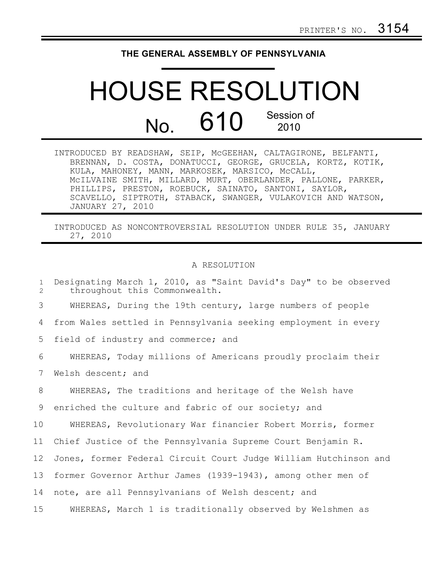## **THE GENERAL ASSEMBLY OF PENNSYLVANIA**

## HOUSE RESOLUTION No. 610 Session of 2010

| INTRODUCED BY READSHAW, SEIP, MCGEEHAN, CALTAGIRONE, BELFANTI, |
|----------------------------------------------------------------|
| BRENNAN, D. COSTA, DONATUCCI, GEORGE, GRUCELA, KORTZ, KOTIK,   |
| KULA, MAHONEY, MANN, MARKOSEK, MARSICO, McCALL,                |
| MCILVAINE SMITH, MILLARD, MURT, OBERLANDER, PALLONE, PARKER,   |
| PHILLIPS, PRESTON, ROEBUCK, SAINATO, SANTONI, SAYLOR,          |
| SCAVELLO, SIPTROTH, STABACK, SWANGER, VULAKOVICH AND WATSON,   |
| JANUARY 27, 2010                                               |

INTRODUCED AS NONCONTROVERSIAL RESOLUTION UNDER RULE 35, JANUARY 27, 2010

## A RESOLUTION

| $\mathbf{1}$<br>$\overline{2}$ | Designating March 1, 2010, as "Saint David's Day" to be observed<br>throughout this Commonwealth. |
|--------------------------------|---------------------------------------------------------------------------------------------------|
| 3                              | WHEREAS, During the 19th century, large numbers of people                                         |
| 4                              | from Wales settled in Pennsylvania seeking employment in every                                    |
| 5                              | field of industry and commerce; and                                                               |
| 6                              | WHEREAS, Today millions of Americans proudly proclaim their                                       |
| 7                              | Welsh descent; and                                                                                |
| 8                              | WHEREAS, The traditions and heritage of the Welsh have                                            |
| 9                              | enriched the culture and fabric of our society; and                                               |
| 10 <sub>o</sub>                | WHEREAS, Revolutionary War financier Robert Morris, former                                        |
| 11                             | Chief Justice of the Pennsylvania Supreme Court Benjamin R.                                       |
| 12                             | Jones, former Federal Circuit Court Judge William Hutchinson and                                  |
| 13                             | former Governor Arthur James (1939-1943), among other men of                                      |
| 14                             | note, are all Pennsylvanians of Welsh descent; and                                                |
| 15                             | WHEREAS, March 1 is traditionally observed by Welshmen as                                         |